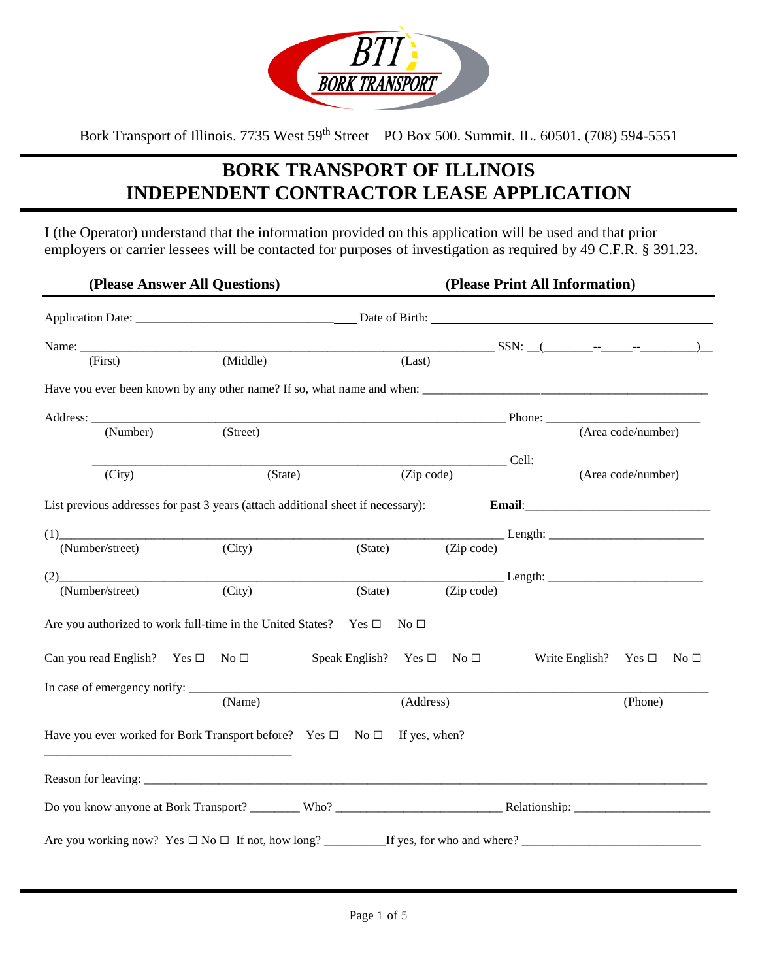

Bork Transport of Illinois. 7735 West 59<sup>th</sup> Street – PO Box 500. Summit. IL. 60501. (708) 594-5551

# **BORK TRANSPORT OF ILLINOIS INDEPENDENT CONTRACTOR LEASE APPLICATION**

I (the Operator) understand that the information provided on this application will be used and that prior employers or carrier lessees will be contacted for purposes of investigation as required by 49 C.F.R. § 391.23.

|                                                                                       | (Please Answer All Questions) |         |                                           | (Please Print All Information) |                                                  |
|---------------------------------------------------------------------------------------|-------------------------------|---------|-------------------------------------------|--------------------------------|--------------------------------------------------|
|                                                                                       |                               |         |                                           |                                |                                                  |
|                                                                                       |                               |         |                                           |                                |                                                  |
| (First)                                                                               | (Middle)                      |         | (Last)                                    |                                |                                                  |
|                                                                                       |                               |         |                                           |                                |                                                  |
|                                                                                       |                               |         |                                           |                                |                                                  |
| (Number)                                                                              | (Stree)                       |         |                                           |                                | (Area code/number)                               |
|                                                                                       |                               |         |                                           |                                |                                                  |
| (City)                                                                                |                               | (State) | (Zip code)                                |                                | $\frac{\text{Cell:}}{\text{(Area code/number)}}$ |
| List previous addresses for past 3 years (attach additional sheet if necessary):      |                               |         |                                           |                                |                                                  |
| (1)                                                                                   |                               |         |                                           |                                |                                                  |
| (Number/street)                                                                       | $\overline{(City)}$           | (State) |                                           |                                |                                                  |
| (2)                                                                                   |                               |         |                                           |                                |                                                  |
| (Number/street)                                                                       | (City)                        | (State) |                                           |                                |                                                  |
| Are you authorized to work full-time in the United States? Yes $\square$ No $\square$ |                               |         |                                           |                                |                                                  |
| Can you read English? Yes $\Box$ No $\Box$                                            |                               |         | Speak English? Yes $\square$ No $\square$ |                                | Write English? Yes $\square$<br>No $\square$     |
|                                                                                       |                               |         |                                           |                                |                                                  |
|                                                                                       | (Name)                        |         | (Address)                                 |                                | (Phone)                                          |
| Have you ever worked for Bork Transport before? Yes $\Box$ No $\Box$ If yes, when?    |                               |         |                                           |                                |                                                  |
|                                                                                       |                               |         |                                           |                                |                                                  |
|                                                                                       |                               |         |                                           |                                |                                                  |
|                                                                                       |                               |         |                                           |                                |                                                  |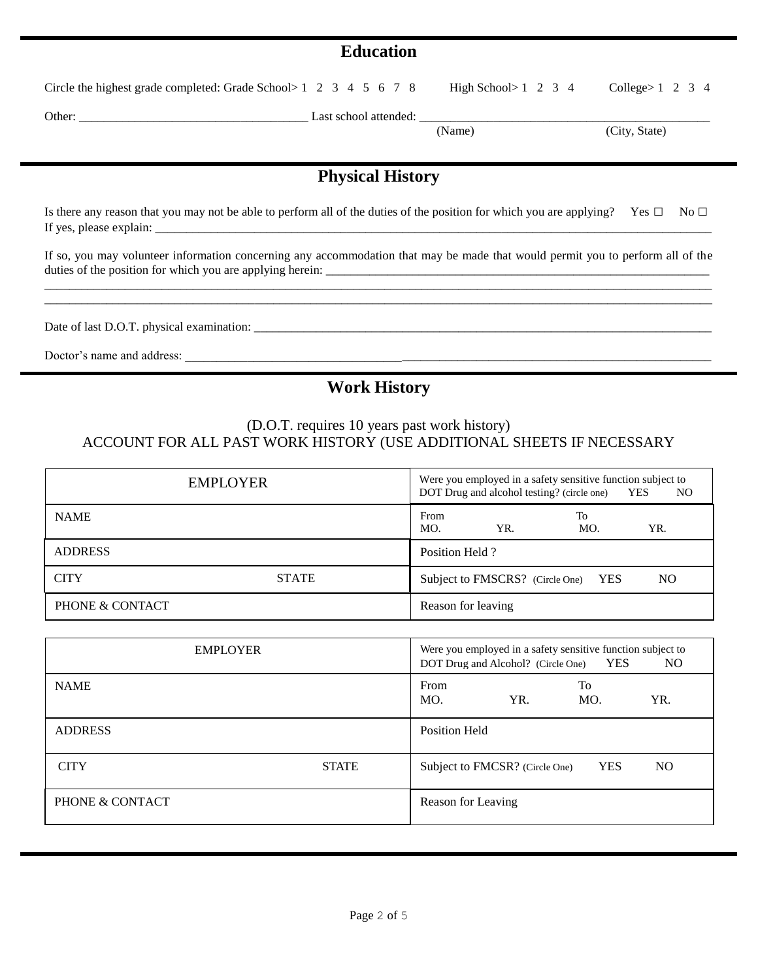### **Education**

| Circle the highest grade completed: Grade School>1 2 3 4 5 6 7 8 High School>1 2 3 4 College>1 2 3 4 |  |  |
|------------------------------------------------------------------------------------------------------|--|--|
|------------------------------------------------------------------------------------------------------|--|--|

Other: \_\_\_\_\_\_\_\_\_\_\_\_\_\_\_\_\_\_\_\_\_\_\_\_\_\_\_\_\_\_\_\_\_\_\_\_\_ Last school attended: \_\_\_\_\_\_\_\_\_\_\_\_\_\_\_\_\_\_\_\_\_\_\_\_\_\_\_\_\_\_\_\_\_\_\_\_\_\_\_\_\_\_\_\_\_\_\_

(Name) (City, State)

# **Physical History**

Is there any reason that you may not be able to perform all of the duties of the position for which you are applying? Yes  $\Box$  No  $\Box$ If yes, please explain:  $\Box$ 

If so, you may volunteer information concerning any accommodation that may be made that would permit you to perform all of the duties of the position for which you are applying herein: \_\_\_\_\_\_\_\_\_\_\_\_\_\_\_\_\_\_\_\_\_\_\_\_\_\_\_\_\_\_\_\_\_\_\_\_\_\_\_\_\_\_\_\_\_\_\_\_\_\_\_\_\_\_\_\_\_\_\_\_\_\_\_\_\_\_\_\_\_\_\_\_\_\_\_\_\_\_\_\_\_\_\_\_\_\_\_\_\_\_\_\_\_\_\_\_\_\_\_\_\_\_\_\_\_\_\_\_

\_\_\_\_\_\_\_\_\_\_\_\_\_\_\_\_\_\_\_\_\_\_\_\_\_\_\_\_\_\_\_\_\_\_\_\_\_\_\_\_\_\_\_\_\_\_\_\_\_\_\_\_\_\_\_\_\_\_\_\_\_\_\_\_\_\_\_\_\_\_\_\_\_\_\_\_\_\_\_\_\_\_\_\_\_\_\_\_\_\_\_\_\_\_\_\_\_\_\_\_\_\_\_\_\_\_\_\_

Date of last D.O.T. physical examination: \_\_\_\_\_\_\_\_\_\_\_\_\_\_\_\_\_\_\_\_\_\_\_\_\_\_\_\_\_\_\_\_\_\_\_\_\_\_\_\_\_\_\_\_\_\_\_\_\_\_\_\_\_\_\_\_\_\_\_\_\_\_\_\_\_\_\_\_\_\_\_\_\_\_

Doctor's name and address:

### **Work History**

#### (D.O.T. requires 10 years past work history) ACCOUNT FOR ALL PAST WORK HISTORY (USE ADDITIONAL SHEETS IF NECESSARY

| <b>EMPLOYER</b> |              | Were you employed in a safety sensitive function subject to<br>DOT Drug and alcohol testing? (circle one) YES<br>N <sub>O</sub> |                                     |           |     |
|-----------------|--------------|---------------------------------------------------------------------------------------------------------------------------------|-------------------------------------|-----------|-----|
| <b>NAME</b>     |              | From<br>MO.                                                                                                                     | YR.                                 | To<br>MO. | YR. |
| <b>ADDRESS</b>  |              | Position Held?                                                                                                                  |                                     |           |     |
| <b>CITY</b>     | <b>STATE</b> |                                                                                                                                 | Subject to FMSCRS? (Circle One) YES |           | NO. |
| PHONE & CONTACT |              | Reason for leaving                                                                                                              |                                     |           |     |

| <b>EMPLOYER</b> |              | Were you employed in a safety sensitive function subject to<br><b>YES</b><br>NO.<br>DOT Drug and Alcohol? (Circle One) |
|-----------------|--------------|------------------------------------------------------------------------------------------------------------------------|
| <b>NAME</b>     |              | From<br>To<br>YR.<br>MO.<br>YR.<br>MO.                                                                                 |
| <b>ADDRESS</b>  |              | <b>Position Held</b>                                                                                                   |
| <b>CITY</b>     | <b>STATE</b> | <b>YES</b><br>Subject to FMCSR? (Circle One)<br>NO.                                                                    |
| PHONE & CONTACT |              | Reason for Leaving                                                                                                     |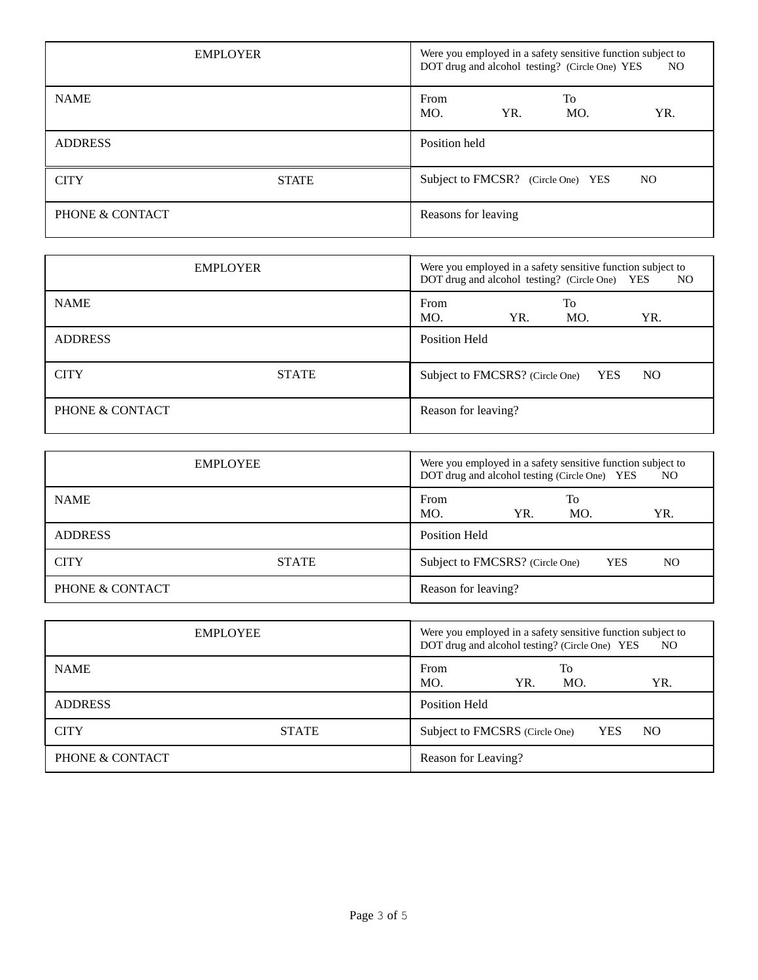| <b>EMPLOYER</b> |              | Were you employed in a safety sensitive function subject to<br>DOT drug and alcohol testing? (Circle One) YES<br>NO |                                    |           |     |
|-----------------|--------------|---------------------------------------------------------------------------------------------------------------------|------------------------------------|-----------|-----|
| <b>NAME</b>     |              | From<br>MO.                                                                                                         | YR.                                | To<br>MO. | YR. |
| <b>ADDRESS</b>  |              | Position held                                                                                                       |                                    |           |     |
| <b>CITY</b>     | <b>STATE</b> |                                                                                                                     | Subject to FMCSR? (Circle One) YES |           | NO. |
| PHONE & CONTACT |              | Reasons for leaving                                                                                                 |                                    |           |     |

| <b>EMPLOYER</b> |              | Were you employed in a safety sensitive function subject to<br>DOT drug and alcohol testing? (Circle One) YES<br>NO. |     |           |     |  |
|-----------------|--------------|----------------------------------------------------------------------------------------------------------------------|-----|-----------|-----|--|
| <b>NAME</b>     |              | From<br>MO.                                                                                                          | YR. | To<br>MO. | YR. |  |
| <b>ADDRESS</b>  |              | Position Held                                                                                                        |     |           |     |  |
| <b>CITY</b>     | <b>STATE</b> | Subject to FMCSRS? (Circle One) YES                                                                                  |     |           | NO. |  |
| PHONE & CONTACT |              | Reason for leaving?                                                                                                  |     |           |     |  |

| <b>EMPLOYEE</b> |              | Were you employed in a safety sensitive function subject to<br>DOT drug and alcohol testing (Circle One) YES<br>NO. |                              |  |
|-----------------|--------------|---------------------------------------------------------------------------------------------------------------------|------------------------------|--|
| <b>NAME</b>     |              | From<br>MO.<br>YR.                                                                                                  | To<br>MO.<br>YR.             |  |
| <b>ADDRESS</b>  |              | Position Held                                                                                                       |                              |  |
| <b>CITY</b>     | <b>STATE</b> | Subject to FMCSRS? (Circle One)                                                                                     | <b>YES</b><br>N <sub>O</sub> |  |
| PHONE & CONTACT |              | Reason for leaving?                                                                                                 |                              |  |

| <b>EMPLOYEE</b> |              | Were you employed in a safety sensitive function subject to<br>DOT drug and alcohol testing? (Circle One) YES<br>NO. |           |            |     |
|-----------------|--------------|----------------------------------------------------------------------------------------------------------------------|-----------|------------|-----|
| <b>NAME</b>     |              | From<br>MO.<br>YR.                                                                                                   | To<br>MO. |            | YR. |
| <b>ADDRESS</b>  |              | Position Held                                                                                                        |           |            |     |
| <b>CITY</b>     | <b>STATE</b> | Subject to FMCSRS (Circle One)                                                                                       |           | <b>YES</b> | NO. |
| PHONE & CONTACT |              | Reason for Leaving?                                                                                                  |           |            |     |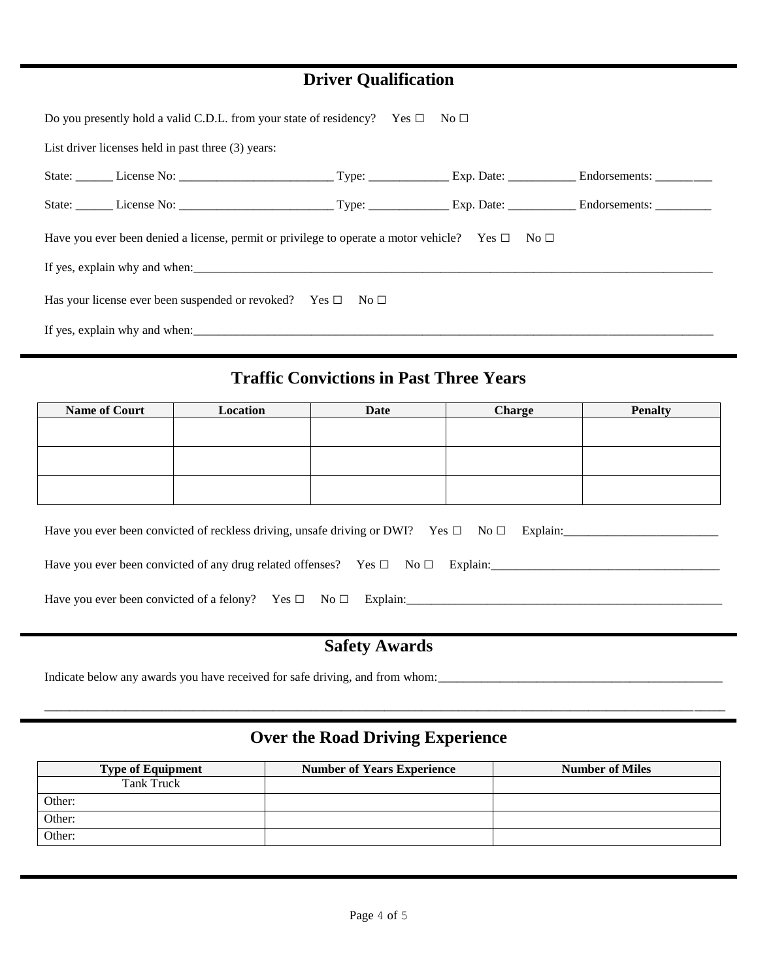## **Driver Qualification**

| Do you presently hold a valid C.D.L. from your state of residency? Yes $\square$ No $\square$             |  |  |
|-----------------------------------------------------------------------------------------------------------|--|--|
| List driver licenses held in past three (3) years:                                                        |  |  |
|                                                                                                           |  |  |
|                                                                                                           |  |  |
| Have you ever been denied a license, permit or privilege to operate a motor vehicle? Yes $\Box$ No $\Box$ |  |  |
|                                                                                                           |  |  |
| Has your license ever been suspended or revoked? Yes $\square$ No $\square$                               |  |  |
|                                                                                                           |  |  |

#### I **Traffic Convictions in Past Three Years**

| <b>Name of Court</b> | Location | Date | <b>Charge</b> | <b>Penalty</b> |
|----------------------|----------|------|---------------|----------------|
|                      |          |      |               |                |
|                      |          |      |               |                |
|                      |          |      |               |                |
|                      |          |      |               |                |
|                      |          |      |               |                |
|                      |          |      |               |                |

| Have you ever been convicted of reckless driving, unsafe driving or DWI? Yes $\Box$ No $\Box$ Explain: |
|--------------------------------------------------------------------------------------------------------|
| Have you ever been convicted of any drug related offenses? Yes $\Box$ No $\Box$ Explain:               |
| Have you ever been convicted of a felony? Yes $\square$ No $\square$<br>Explain:                       |

## **Safety Awards**

Indicate below any awards you have received for safe driving, and from whom:\_\_\_\_\_\_\_\_\_\_\_\_\_\_\_\_\_\_\_\_\_\_\_\_\_\_\_\_\_\_\_\_\_\_\_\_\_\_\_\_\_\_\_\_\_\_

# **Over the Road Driving Experience**

\_\_\_\_\_\_\_\_\_\_\_\_\_\_\_\_\_\_\_\_\_\_\_\_\_\_\_\_\_\_\_\_\_\_\_\_\_\_\_\_\_\_\_\_\_\_\_\_\_\_\_\_\_\_\_\_\_\_\_\_\_\_\_\_\_\_\_\_\_\_\_\_\_\_\_\_\_\_\_\_\_\_\_\_\_\_\_\_\_\_\_\_\_\_\_\_\_\_\_\_\_\_\_\_\_\_\_\_\_\_

| <b>Type of Equipment</b> | <b>Number of Years Experience</b> | <b>Number of Miles</b> |
|--------------------------|-----------------------------------|------------------------|
| Tank Truck               |                                   |                        |
| Other:                   |                                   |                        |
| Other:                   |                                   |                        |
| Other:                   |                                   |                        |